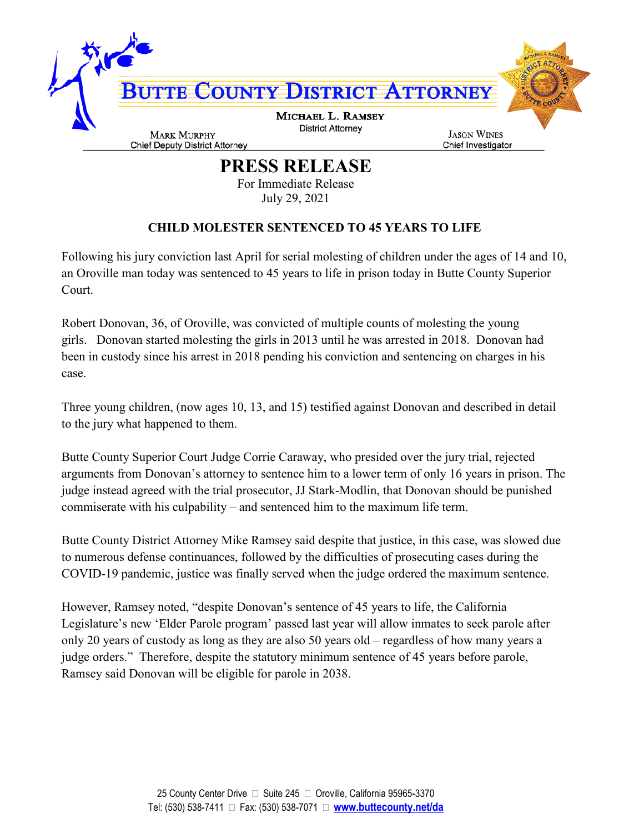

**PRESS RELEASE**

For Immediate Release July 29, 2021

## **CHILD MOLESTER SENTENCED TO 45 YEARS TO LIFE**

Following his jury conviction last April for serial molesting of children under the ages of 14 and 10, an Oroville man today was sentenced to 45 years to life in prison today in Butte County Superior Court.

Robert Donovan, 36, of Oroville, was convicted of multiple counts of molesting the young girls. Donovan started molesting the girls in 2013 until he was arrested in 2018. Donovan had been in custody since his arrest in 2018 pending his conviction and sentencing on charges in his case.

Three young children, (now ages 10, 13, and 15) testified against Donovan and described in detail to the jury what happened to them.

Butte County Superior Court Judge Corrie Caraway, who presided over the jury trial, rejected arguments from Donovan's attorney to sentence him to a lower term of only 16 years in prison. The judge instead agreed with the trial prosecutor, JJ Stark-Modlin, that Donovan should be punished commiserate with his culpability – and sentenced him to the maximum life term.

Butte County District Attorney Mike Ramsey said despite that justice, in this case, was slowed due to numerous defense continuances, followed by the difficulties of prosecuting cases during the COVID-19 pandemic, justice was finally served when the judge ordered the maximum sentence.

However, Ramsey noted, "despite Donovan's sentence of 45 years to life, the California Legislature's new 'Elder Parole program' passed last year will allow inmates to seek parole after only 20 years of custody as long as they are also 50 years old – regardless of how many years a judge orders." Therefore, despite the statutory minimum sentence of 45 years before parole, Ramsey said Donovan will be eligible for parole in 2038.